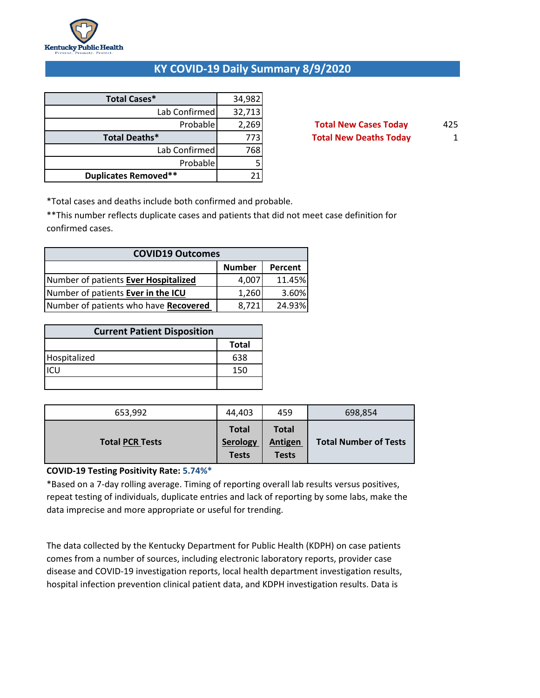

### **KY COVID-19 Daily Summary 8/9/2020**

| <b>Total Cases*</b>         | 34,982 |
|-----------------------------|--------|
| Lab Confirmed               | 32,713 |
| Probable                    | 2,269  |
| Total Deaths*               | 773    |
| Lab Confirmed               | 768    |
| Probable                    |        |
| <b>Duplicates Removed**</b> |        |

**Total New Cases Today** 425 **Total New Deaths Today** 1

\*Total cases and deaths include both confirmed and probable.

\*\*This number reflects duplicate cases and patients that did not meet case definition for confirmed cases.

| <b>COVID19 Outcomes</b>               |       |        |  |  |  |  |
|---------------------------------------|-------|--------|--|--|--|--|
| <b>Number</b><br>Percent              |       |        |  |  |  |  |
| Number of patients Ever Hospitalized  | 4,007 | 11.45% |  |  |  |  |
| Number of patients Ever in the ICU    | 1,260 | 3.60%  |  |  |  |  |
| Number of patients who have Recovered | 8,721 | 24.93% |  |  |  |  |

| <b>Current Patient Disposition</b> |              |  |  |  |
|------------------------------------|--------------|--|--|--|
|                                    | <b>Total</b> |  |  |  |
| Hospitalized                       | 638          |  |  |  |
|                                    | 150          |  |  |  |
|                                    |              |  |  |  |

| 653,992                | 44,403                                   | 459                                            | 698,854                      |
|------------------------|------------------------------------------|------------------------------------------------|------------------------------|
| <b>Total PCR Tests</b> | <b>Total</b><br>Serology<br><b>Tests</b> | <b>Total</b><br><b>Antigen</b><br><b>Tests</b> | <b>Total Number of Tests</b> |

### **COVID-19 Testing Positivity Rate: 5.74%\***

\*Based on a 7-day rolling average. Timing of reporting overall lab results versus positives, repeat testing of individuals, duplicate entries and lack of reporting by some labs, make the data imprecise and more appropriate or useful for trending.

The data collected by the Kentucky Department for Public Health (KDPH) on case patients comes from a number of sources, including electronic laboratory reports, provider case disease and COVID-19 investigation reports, local health department investigation results, hospital infection prevention clinical patient data, and KDPH investigation results. Data is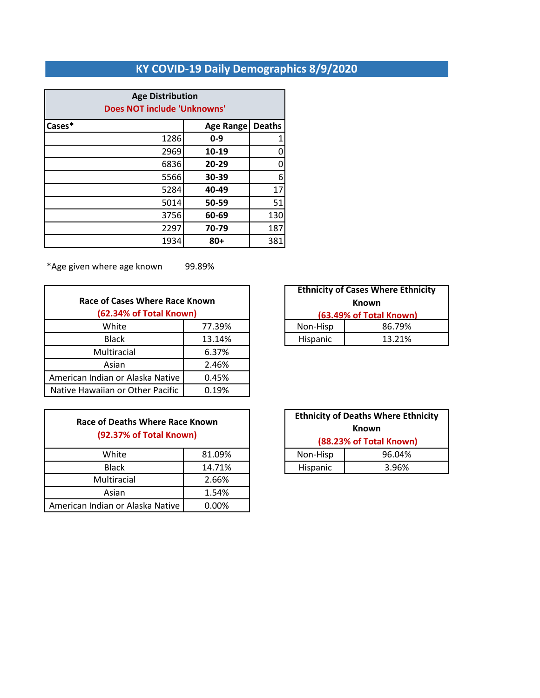# **KY COVID-19 Daily Demographics 8/9/2020**

| <b>Age Distribution</b><br><b>Does NOT include 'Unknowns'</b> |                  |               |  |  |  |
|---------------------------------------------------------------|------------------|---------------|--|--|--|
| Cases*                                                        | <b>Age Range</b> | <b>Deaths</b> |  |  |  |
| 1286                                                          | $0 - 9$          |               |  |  |  |
| 2969                                                          | 10-19            |               |  |  |  |
| 6836                                                          | 20-29            |               |  |  |  |
| 5566                                                          | 30-39            | 6             |  |  |  |
| 5284                                                          | 40-49            | 17            |  |  |  |
| 5014                                                          | 50-59            | 51            |  |  |  |
| 3756                                                          | 60-69            | 130           |  |  |  |
| 2297                                                          | 70-79            | 187           |  |  |  |
| 1934                                                          | $80+$            | 381           |  |  |  |

\*Age given where age known 99.89%

| Race of Cases Where Race Known<br>(62.34% of Total Known) |        |          | <b>Ethnicity of Cases where Eth</b><br><b>Known</b><br>(63.49% of Total Knowr |
|-----------------------------------------------------------|--------|----------|-------------------------------------------------------------------------------|
| White                                                     | 77.39% | Non-Hisp | 86.79%                                                                        |
| <b>Black</b>                                              | 13.14% | Hispanic | 13.21%                                                                        |
| Multiracial                                               | 6.37%  |          |                                                                               |
| Asian                                                     | 2.46%  |          |                                                                               |
| American Indian or Alaska Native                          | 0.45%  |          |                                                                               |
| Native Hawaiian or Other Pacific                          | 0.19%  |          |                                                                               |

| Race of Deaths Where Race Known |
|---------------------------------|
| (92.37% of Total Known)         |
|                                 |

| White                            | 81.09% | Non-Hisp | 96.04% |
|----------------------------------|--------|----------|--------|
| <b>Black</b>                     | 14.71% | Hispanic | 3.96%  |
| Multiracial                      | 2.66%  |          |        |
| Asian                            | 1.54%  |          |        |
| American Indian or Alaska Native | 0.00%  |          |        |

| <b>Ethnicity of Cases Where Ethnicity</b> |        |  |  |
|-------------------------------------------|--------|--|--|
| Known                                     |        |  |  |
| (63.49% of Total Known)                   |        |  |  |
| Non-Hisp                                  | 86.79% |  |  |
| Hispanic                                  | 13.21% |  |  |

| <b>Ethnicity of Deaths Where Ethnicity</b><br>Known<br>(88.23% of Total Known) |  |  |  |
|--------------------------------------------------------------------------------|--|--|--|
| 96.04%<br>Non-Hisp                                                             |  |  |  |
| Hispanic<br>3.96%                                                              |  |  |  |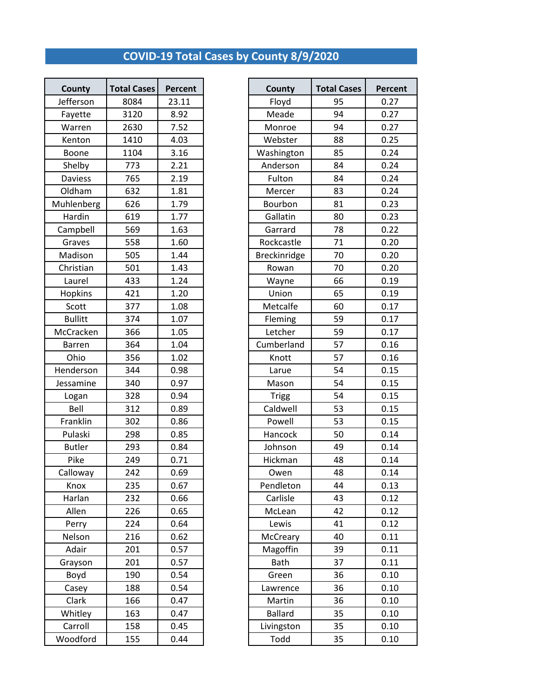# **COVID-19 Total Cases by County 8/9/2020**

| <b>Total Cases</b><br>Percent<br>County<br><b>Total Cases</b><br><b>County</b><br>Jefferson<br>95<br>8084<br>23.11<br>Floyd<br>3120<br>Meade<br>94<br>8.92<br>Fayette<br>7.52<br>94<br>2630<br>Monroe<br>Warren<br>1410<br>4.03<br>Webster<br>88<br>Kenton<br>85<br>Boone<br>1104<br>3.16<br>Washington<br>Anderson<br>Shelby<br>773<br>2.21<br>84<br>765<br>2.19<br>Fulton<br>84<br><b>Daviess</b><br>Oldham<br>632<br>1.81<br>83<br>Mercer<br>1.79<br>Bourbon<br>81<br>Muhlenberg<br>626<br>Hardin<br>619<br>1.77<br>Gallatin<br>80<br>569<br>1.63<br>Garrard<br>78<br>Campbell<br>71<br>Graves<br>558<br>1.60<br>Rockcastle<br>1.44<br>Madison<br>505<br>Breckinridge<br>70<br>70<br>Christian<br>501<br>1.43<br>Rowan<br>433<br>1.24<br>66<br>Laurel<br>Wayne<br><b>Hopkins</b><br>421<br>1.20<br>Union<br>65<br>377<br>Scott<br>1.08<br>Metcalfe<br>60<br><b>Bullitt</b><br>374<br>1.07<br>Fleming<br>59<br>366<br>Letcher<br>McCracken<br>1.05<br>59<br>57<br>364<br>Cumberland<br>1.04<br><b>Barren</b><br>Ohio<br>356<br>1.02<br>Knott<br>57<br>54<br>Henderson<br>344<br>0.98<br>Larue<br>54<br>Jessamine<br>340<br>0.97<br>Mason<br>54<br>328<br>0.94<br><b>Trigg</b><br>Logan<br>Bell<br>Caldwell<br>53<br>312<br>0.89<br>53<br>Franklin<br>302<br>0.86<br>Powell<br>Pulaski<br>0.85<br>50<br>298<br>Hancock<br>49<br><b>Butler</b><br>293<br>Johnson<br>0.84<br>Pike<br>249<br>0.71<br>48<br>Hickman<br>242<br>48<br>Calloway<br>0.69<br>Owen<br>44<br>235<br>0.67<br>Pendleton<br>Knox<br>232<br>0.66<br>43<br>Harlan<br>Carlisle<br>Allen<br>226<br>0.65<br>McLean<br>42<br>224<br>0.64<br>41<br>Lewis<br>Perry<br>Nelson<br>216<br>0.62<br>McCreary<br>40<br>Adair<br>Magoffin<br>201<br>0.57<br>39<br>Bath<br>201<br>0.57<br>37<br>Grayson<br>Boyd<br>190<br>0.54<br>Green<br>36<br>0.54<br>188<br>36<br>Casey<br>Lawrence<br>Clark<br>0.47<br>166<br>Martin<br>36<br><b>Ballard</b><br>35<br>Whitley<br>163<br>0.47<br>Carroll<br>158<br>0.45<br>Livingston<br>35 |          |     |      |      |    |              |
|------------------------------------------------------------------------------------------------------------------------------------------------------------------------------------------------------------------------------------------------------------------------------------------------------------------------------------------------------------------------------------------------------------------------------------------------------------------------------------------------------------------------------------------------------------------------------------------------------------------------------------------------------------------------------------------------------------------------------------------------------------------------------------------------------------------------------------------------------------------------------------------------------------------------------------------------------------------------------------------------------------------------------------------------------------------------------------------------------------------------------------------------------------------------------------------------------------------------------------------------------------------------------------------------------------------------------------------------------------------------------------------------------------------------------------------------------------------------------------------------------------------------------------------------------------------------------------------------------------------------------------------------------------------------------------------------------------------------------------------------------------------------------------------------------------------------------------------------------------------------------------------------------------------------------------------------------------------------------------|----------|-----|------|------|----|--------------|
|                                                                                                                                                                                                                                                                                                                                                                                                                                                                                                                                                                                                                                                                                                                                                                                                                                                                                                                                                                                                                                                                                                                                                                                                                                                                                                                                                                                                                                                                                                                                                                                                                                                                                                                                                                                                                                                                                                                                                                                    |          |     |      |      |    | <b>Perce</b> |
|                                                                                                                                                                                                                                                                                                                                                                                                                                                                                                                                                                                                                                                                                                                                                                                                                                                                                                                                                                                                                                                                                                                                                                                                                                                                                                                                                                                                                                                                                                                                                                                                                                                                                                                                                                                                                                                                                                                                                                                    |          |     |      |      |    |              |
|                                                                                                                                                                                                                                                                                                                                                                                                                                                                                                                                                                                                                                                                                                                                                                                                                                                                                                                                                                                                                                                                                                                                                                                                                                                                                                                                                                                                                                                                                                                                                                                                                                                                                                                                                                                                                                                                                                                                                                                    |          |     |      |      |    |              |
|                                                                                                                                                                                                                                                                                                                                                                                                                                                                                                                                                                                                                                                                                                                                                                                                                                                                                                                                                                                                                                                                                                                                                                                                                                                                                                                                                                                                                                                                                                                                                                                                                                                                                                                                                                                                                                                                                                                                                                                    |          |     |      |      |    |              |
|                                                                                                                                                                                                                                                                                                                                                                                                                                                                                                                                                                                                                                                                                                                                                                                                                                                                                                                                                                                                                                                                                                                                                                                                                                                                                                                                                                                                                                                                                                                                                                                                                                                                                                                                                                                                                                                                                                                                                                                    |          |     |      |      |    |              |
|                                                                                                                                                                                                                                                                                                                                                                                                                                                                                                                                                                                                                                                                                                                                                                                                                                                                                                                                                                                                                                                                                                                                                                                                                                                                                                                                                                                                                                                                                                                                                                                                                                                                                                                                                                                                                                                                                                                                                                                    |          |     |      |      |    |              |
|                                                                                                                                                                                                                                                                                                                                                                                                                                                                                                                                                                                                                                                                                                                                                                                                                                                                                                                                                                                                                                                                                                                                                                                                                                                                                                                                                                                                                                                                                                                                                                                                                                                                                                                                                                                                                                                                                                                                                                                    |          |     |      |      |    |              |
|                                                                                                                                                                                                                                                                                                                                                                                                                                                                                                                                                                                                                                                                                                                                                                                                                                                                                                                                                                                                                                                                                                                                                                                                                                                                                                                                                                                                                                                                                                                                                                                                                                                                                                                                                                                                                                                                                                                                                                                    |          |     |      |      |    |              |
|                                                                                                                                                                                                                                                                                                                                                                                                                                                                                                                                                                                                                                                                                                                                                                                                                                                                                                                                                                                                                                                                                                                                                                                                                                                                                                                                                                                                                                                                                                                                                                                                                                                                                                                                                                                                                                                                                                                                                                                    |          |     |      |      |    |              |
|                                                                                                                                                                                                                                                                                                                                                                                                                                                                                                                                                                                                                                                                                                                                                                                                                                                                                                                                                                                                                                                                                                                                                                                                                                                                                                                                                                                                                                                                                                                                                                                                                                                                                                                                                                                                                                                                                                                                                                                    |          |     |      |      |    |              |
|                                                                                                                                                                                                                                                                                                                                                                                                                                                                                                                                                                                                                                                                                                                                                                                                                                                                                                                                                                                                                                                                                                                                                                                                                                                                                                                                                                                                                                                                                                                                                                                                                                                                                                                                                                                                                                                                                                                                                                                    |          |     |      |      |    |              |
|                                                                                                                                                                                                                                                                                                                                                                                                                                                                                                                                                                                                                                                                                                                                                                                                                                                                                                                                                                                                                                                                                                                                                                                                                                                                                                                                                                                                                                                                                                                                                                                                                                                                                                                                                                                                                                                                                                                                                                                    |          |     |      |      |    |              |
|                                                                                                                                                                                                                                                                                                                                                                                                                                                                                                                                                                                                                                                                                                                                                                                                                                                                                                                                                                                                                                                                                                                                                                                                                                                                                                                                                                                                                                                                                                                                                                                                                                                                                                                                                                                                                                                                                                                                                                                    |          |     |      |      |    |              |
|                                                                                                                                                                                                                                                                                                                                                                                                                                                                                                                                                                                                                                                                                                                                                                                                                                                                                                                                                                                                                                                                                                                                                                                                                                                                                                                                                                                                                                                                                                                                                                                                                                                                                                                                                                                                                                                                                                                                                                                    |          |     |      |      |    |              |
|                                                                                                                                                                                                                                                                                                                                                                                                                                                                                                                                                                                                                                                                                                                                                                                                                                                                                                                                                                                                                                                                                                                                                                                                                                                                                                                                                                                                                                                                                                                                                                                                                                                                                                                                                                                                                                                                                                                                                                                    |          |     |      |      |    |              |
|                                                                                                                                                                                                                                                                                                                                                                                                                                                                                                                                                                                                                                                                                                                                                                                                                                                                                                                                                                                                                                                                                                                                                                                                                                                                                                                                                                                                                                                                                                                                                                                                                                                                                                                                                                                                                                                                                                                                                                                    |          |     |      |      |    |              |
|                                                                                                                                                                                                                                                                                                                                                                                                                                                                                                                                                                                                                                                                                                                                                                                                                                                                                                                                                                                                                                                                                                                                                                                                                                                                                                                                                                                                                                                                                                                                                                                                                                                                                                                                                                                                                                                                                                                                                                                    |          |     |      |      |    |              |
|                                                                                                                                                                                                                                                                                                                                                                                                                                                                                                                                                                                                                                                                                                                                                                                                                                                                                                                                                                                                                                                                                                                                                                                                                                                                                                                                                                                                                                                                                                                                                                                                                                                                                                                                                                                                                                                                                                                                                                                    |          |     |      |      |    |              |
|                                                                                                                                                                                                                                                                                                                                                                                                                                                                                                                                                                                                                                                                                                                                                                                                                                                                                                                                                                                                                                                                                                                                                                                                                                                                                                                                                                                                                                                                                                                                                                                                                                                                                                                                                                                                                                                                                                                                                                                    |          |     |      |      |    |              |
|                                                                                                                                                                                                                                                                                                                                                                                                                                                                                                                                                                                                                                                                                                                                                                                                                                                                                                                                                                                                                                                                                                                                                                                                                                                                                                                                                                                                                                                                                                                                                                                                                                                                                                                                                                                                                                                                                                                                                                                    |          |     |      |      |    |              |
|                                                                                                                                                                                                                                                                                                                                                                                                                                                                                                                                                                                                                                                                                                                                                                                                                                                                                                                                                                                                                                                                                                                                                                                                                                                                                                                                                                                                                                                                                                                                                                                                                                                                                                                                                                                                                                                                                                                                                                                    |          |     |      |      |    |              |
|                                                                                                                                                                                                                                                                                                                                                                                                                                                                                                                                                                                                                                                                                                                                                                                                                                                                                                                                                                                                                                                                                                                                                                                                                                                                                                                                                                                                                                                                                                                                                                                                                                                                                                                                                                                                                                                                                                                                                                                    |          |     |      |      |    |              |
|                                                                                                                                                                                                                                                                                                                                                                                                                                                                                                                                                                                                                                                                                                                                                                                                                                                                                                                                                                                                                                                                                                                                                                                                                                                                                                                                                                                                                                                                                                                                                                                                                                                                                                                                                                                                                                                                                                                                                                                    |          |     |      |      |    |              |
|                                                                                                                                                                                                                                                                                                                                                                                                                                                                                                                                                                                                                                                                                                                                                                                                                                                                                                                                                                                                                                                                                                                                                                                                                                                                                                                                                                                                                                                                                                                                                                                                                                                                                                                                                                                                                                                                                                                                                                                    |          |     |      |      |    |              |
|                                                                                                                                                                                                                                                                                                                                                                                                                                                                                                                                                                                                                                                                                                                                                                                                                                                                                                                                                                                                                                                                                                                                                                                                                                                                                                                                                                                                                                                                                                                                                                                                                                                                                                                                                                                                                                                                                                                                                                                    |          |     |      |      |    |              |
|                                                                                                                                                                                                                                                                                                                                                                                                                                                                                                                                                                                                                                                                                                                                                                                                                                                                                                                                                                                                                                                                                                                                                                                                                                                                                                                                                                                                                                                                                                                                                                                                                                                                                                                                                                                                                                                                                                                                                                                    |          |     |      |      |    |              |
|                                                                                                                                                                                                                                                                                                                                                                                                                                                                                                                                                                                                                                                                                                                                                                                                                                                                                                                                                                                                                                                                                                                                                                                                                                                                                                                                                                                                                                                                                                                                                                                                                                                                                                                                                                                                                                                                                                                                                                                    |          |     |      |      |    |              |
|                                                                                                                                                                                                                                                                                                                                                                                                                                                                                                                                                                                                                                                                                                                                                                                                                                                                                                                                                                                                                                                                                                                                                                                                                                                                                                                                                                                                                                                                                                                                                                                                                                                                                                                                                                                                                                                                                                                                                                                    |          |     |      |      |    |              |
|                                                                                                                                                                                                                                                                                                                                                                                                                                                                                                                                                                                                                                                                                                                                                                                                                                                                                                                                                                                                                                                                                                                                                                                                                                                                                                                                                                                                                                                                                                                                                                                                                                                                                                                                                                                                                                                                                                                                                                                    |          |     |      |      |    |              |
|                                                                                                                                                                                                                                                                                                                                                                                                                                                                                                                                                                                                                                                                                                                                                                                                                                                                                                                                                                                                                                                                                                                                                                                                                                                                                                                                                                                                                                                                                                                                                                                                                                                                                                                                                                                                                                                                                                                                                                                    |          |     |      |      |    |              |
|                                                                                                                                                                                                                                                                                                                                                                                                                                                                                                                                                                                                                                                                                                                                                                                                                                                                                                                                                                                                                                                                                                                                                                                                                                                                                                                                                                                                                                                                                                                                                                                                                                                                                                                                                                                                                                                                                                                                                                                    |          |     |      |      |    |              |
|                                                                                                                                                                                                                                                                                                                                                                                                                                                                                                                                                                                                                                                                                                                                                                                                                                                                                                                                                                                                                                                                                                                                                                                                                                                                                                                                                                                                                                                                                                                                                                                                                                                                                                                                                                                                                                                                                                                                                                                    |          |     |      |      |    |              |
|                                                                                                                                                                                                                                                                                                                                                                                                                                                                                                                                                                                                                                                                                                                                                                                                                                                                                                                                                                                                                                                                                                                                                                                                                                                                                                                                                                                                                                                                                                                                                                                                                                                                                                                                                                                                                                                                                                                                                                                    |          |     |      |      |    |              |
|                                                                                                                                                                                                                                                                                                                                                                                                                                                                                                                                                                                                                                                                                                                                                                                                                                                                                                                                                                                                                                                                                                                                                                                                                                                                                                                                                                                                                                                                                                                                                                                                                                                                                                                                                                                                                                                                                                                                                                                    |          |     |      |      |    |              |
|                                                                                                                                                                                                                                                                                                                                                                                                                                                                                                                                                                                                                                                                                                                                                                                                                                                                                                                                                                                                                                                                                                                                                                                                                                                                                                                                                                                                                                                                                                                                                                                                                                                                                                                                                                                                                                                                                                                                                                                    |          |     |      |      |    |              |
|                                                                                                                                                                                                                                                                                                                                                                                                                                                                                                                                                                                                                                                                                                                                                                                                                                                                                                                                                                                                                                                                                                                                                                                                                                                                                                                                                                                                                                                                                                                                                                                                                                                                                                                                                                                                                                                                                                                                                                                    |          |     |      |      |    |              |
|                                                                                                                                                                                                                                                                                                                                                                                                                                                                                                                                                                                                                                                                                                                                                                                                                                                                                                                                                                                                                                                                                                                                                                                                                                                                                                                                                                                                                                                                                                                                                                                                                                                                                                                                                                                                                                                                                                                                                                                    |          |     |      |      |    |              |
|                                                                                                                                                                                                                                                                                                                                                                                                                                                                                                                                                                                                                                                                                                                                                                                                                                                                                                                                                                                                                                                                                                                                                                                                                                                                                                                                                                                                                                                                                                                                                                                                                                                                                                                                                                                                                                                                                                                                                                                    |          |     |      |      |    |              |
|                                                                                                                                                                                                                                                                                                                                                                                                                                                                                                                                                                                                                                                                                                                                                                                                                                                                                                                                                                                                                                                                                                                                                                                                                                                                                                                                                                                                                                                                                                                                                                                                                                                                                                                                                                                                                                                                                                                                                                                    |          |     |      |      |    |              |
|                                                                                                                                                                                                                                                                                                                                                                                                                                                                                                                                                                                                                                                                                                                                                                                                                                                                                                                                                                                                                                                                                                                                                                                                                                                                                                                                                                                                                                                                                                                                                                                                                                                                                                                                                                                                                                                                                                                                                                                    |          |     |      |      |    |              |
|                                                                                                                                                                                                                                                                                                                                                                                                                                                                                                                                                                                                                                                                                                                                                                                                                                                                                                                                                                                                                                                                                                                                                                                                                                                                                                                                                                                                                                                                                                                                                                                                                                                                                                                                                                                                                                                                                                                                                                                    |          |     |      |      |    |              |
|                                                                                                                                                                                                                                                                                                                                                                                                                                                                                                                                                                                                                                                                                                                                                                                                                                                                                                                                                                                                                                                                                                                                                                                                                                                                                                                                                                                                                                                                                                                                                                                                                                                                                                                                                                                                                                                                                                                                                                                    |          |     |      |      |    |              |
|                                                                                                                                                                                                                                                                                                                                                                                                                                                                                                                                                                                                                                                                                                                                                                                                                                                                                                                                                                                                                                                                                                                                                                                                                                                                                                                                                                                                                                                                                                                                                                                                                                                                                                                                                                                                                                                                                                                                                                                    |          |     |      |      |    |              |
|                                                                                                                                                                                                                                                                                                                                                                                                                                                                                                                                                                                                                                                                                                                                                                                                                                                                                                                                                                                                                                                                                                                                                                                                                                                                                                                                                                                                                                                                                                                                                                                                                                                                                                                                                                                                                                                                                                                                                                                    | Woodford | 155 | 0.44 | Todd | 35 |              |

| <b>County</b>  | <b>Total Cases</b> | Percent | County         | <b>Total Cases</b> | Percent |
|----------------|--------------------|---------|----------------|--------------------|---------|
| Jefferson      | 8084               | 23.11   | Floyd          | 95                 | 0.27    |
| Fayette        | 3120               | 8.92    | Meade          | 94                 | 0.27    |
| Warren         | 2630               | 7.52    | Monroe         | 94                 | 0.27    |
| Kenton         | 1410               | 4.03    | Webster        | 88                 | 0.25    |
| Boone          | 1104               | 3.16    | Washington     | 85                 | 0.24    |
| Shelby         | 773                | 2.21    | Anderson       | 84                 | 0.24    |
| <b>Daviess</b> | 765                | 2.19    | Fulton         | 84                 | 0.24    |
| Oldham         | 632                | 1.81    | Mercer         | 83                 | 0.24    |
| Muhlenberg     | 626                | 1.79    | Bourbon        | 81                 | 0.23    |
| Hardin         | 619                | 1.77    | Gallatin       | 80                 | 0.23    |
| Campbell       | 569                | 1.63    | Garrard        | 78                 | 0.22    |
| Graves         | 558                | 1.60    | Rockcastle     | 71                 | 0.20    |
| Madison        | 505                | 1.44    | Breckinridge   | 70                 | 0.20    |
| Christian      | 501                | 1.43    | Rowan          | 70                 | 0.20    |
| Laurel         | 433                | 1.24    | Wayne          | 66                 | 0.19    |
| Hopkins        | 421                | 1.20    | Union          | 65                 | 0.19    |
| Scott          | 377                | 1.08    | Metcalfe       | 60                 | 0.17    |
| <b>Bullitt</b> | 374                | 1.07    | Fleming        | 59                 | 0.17    |
| McCracken      | 366                | 1.05    | Letcher        | 59                 | 0.17    |
| <b>Barren</b>  | 364                | 1.04    | Cumberland     | 57                 | 0.16    |
| Ohio           | 356                | 1.02    | Knott          | 57                 | 0.16    |
| Henderson      | 344                | 0.98    | Larue          | 54                 | 0.15    |
| Jessamine      | 340                | 0.97    | Mason          | 54                 | 0.15    |
| Logan          | 328                | 0.94    | <b>Trigg</b>   | 54                 | 0.15    |
| Bell           | 312                | 0.89    | Caldwell       | 53                 | 0.15    |
| Franklin       | 302                | 0.86    | Powell         | 53                 | 0.15    |
| Pulaski        | 298                | 0.85    | Hancock        | 50                 | 0.14    |
| <b>Butler</b>  | 293                | 0.84    | Johnson        | 49                 | 0.14    |
| Pike           | 249                | 0.71    | Hickman        | 48                 | 0.14    |
| Calloway       | 242                | 0.69    | Owen           | 48                 | 0.14    |
| Knox           | 235                | 0.67    | Pendleton      | 44                 | 0.13    |
| Harlan         | 232                | 0.66    | Carlisle       | 43                 | 0.12    |
| Allen          | 226                | 0.65    | McLean         | 42                 | 0.12    |
| Perry          | 224                | 0.64    | Lewis          | 41                 | 0.12    |
| Nelson         | 216                | 0.62    | McCreary       | 40                 | 0.11    |
| Adair          | 201                | 0.57    | Magoffin       | 39                 | 0.11    |
| Grayson        | 201                | 0.57    | Bath           | 37                 | 0.11    |
| Boyd           | 190                | 0.54    | Green          | 36                 | 0.10    |
| Casey          | 188                | 0.54    | Lawrence       | 36                 | 0.10    |
| Clark          | 166                | 0.47    | Martin         | 36                 | 0.10    |
| Whitley        | 163                | 0.47    | <b>Ballard</b> | 35                 | 0.10    |
| Carroll        | 158                | 0.45    | Livingston     | 35                 | 0.10    |
| Woodford       | 155                | 0.44    | Todd           | 35                 | 0.10    |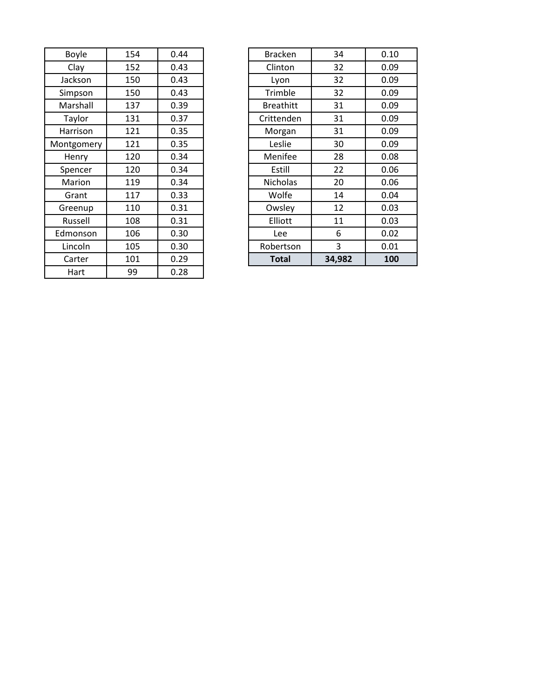| <b>Boyle</b> | 154 | 0.44 | <b>Bracken</b>   | 34     | 0.10 |
|--------------|-----|------|------------------|--------|------|
| Clay         | 152 | 0.43 | Clinton          | 32     | 0.09 |
| Jackson      | 150 | 0.43 | Lyon             | 32     | 0.09 |
| Simpson      | 150 | 0.43 | Trimble          | 32     | 0.09 |
| Marshall     | 137 | 0.39 | <b>Breathitt</b> | 31     | 0.09 |
| Taylor       | 131 | 0.37 | Crittenden       | 31     | 0.09 |
| Harrison     | 121 | 0.35 | Morgan           | 31     | 0.09 |
| Montgomery   | 121 | 0.35 | Leslie           | 30     | 0.09 |
| Henry        | 120 | 0.34 | Menifee          | 28     | 0.08 |
| Spencer      | 120 | 0.34 | Estill           | 22     | 0.06 |
| Marion       | 119 | 0.34 | <b>Nicholas</b>  | 20     | 0.06 |
| Grant        | 117 | 0.33 | Wolfe            | 14     | 0.04 |
| Greenup      | 110 | 0.31 | Owsley           | 12     | 0.03 |
| Russell      | 108 | 0.31 | Elliott          | 11     | 0.03 |
| Edmonson     | 106 | 0.30 | <b>Lee</b>       | 6      | 0.02 |
| Lincoln      | 105 | 0.30 | Robertson        | 3      | 0.01 |
| Carter       | 101 | 0.29 | <b>Total</b>     | 34,982 | 100  |
| Hart         | 99  | 0.28 |                  |        |      |

| Boyle     | 154 | 0.44 | <b>Bracken</b>   | 34     | 0.10 |
|-----------|-----|------|------------------|--------|------|
| Clay      | 152 | 0.43 | Clinton          | 32     | 0.09 |
| Jackson   | 150 | 0.43 | Lyon             | 32     | 0.09 |
| Simpson   | 150 | 0.43 | Trimble          | 32     | 0.09 |
| Marshall  | 137 | 0.39 | <b>Breathitt</b> | 31     | 0.09 |
| Taylor    | 131 | 0.37 | Crittenden       | 31     | 0.09 |
| Harrison  | 121 | 0.35 | Morgan           | 31     | 0.09 |
| ontgomery | 121 | 0.35 | Leslie           | 30     | 0.09 |
| Henry     | 120 | 0.34 | Menifee          | 28     | 0.08 |
| Spencer   | 120 | 0.34 | Estill           | 22     | 0.06 |
| Marion    | 119 | 0.34 | <b>Nicholas</b>  | 20     | 0.06 |
| Grant     | 117 | 0.33 | Wolfe            | 14     | 0.04 |
| Greenup   | 110 | 0.31 | Owsley           | 12     | 0.03 |
| Russell   | 108 | 0.31 | Elliott          | 11     | 0.03 |
| dmonson   | 106 | 0.30 | Lee              | 6      | 0.02 |
| Lincoln   | 105 | 0.30 | Robertson        | 3      | 0.01 |
| Carter    | 101 | 0.29 | <b>Total</b>     | 34,982 | 100  |
|           |     |      |                  |        |      |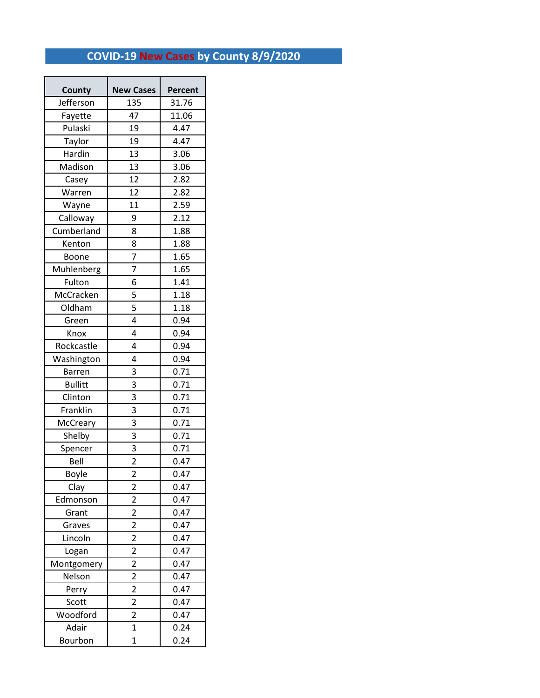# **COVID-19 New Cases by County 8/9/2020**

 $\overline{a}$ 

| County         | <b>New Cases</b>        | Percent |  |
|----------------|-------------------------|---------|--|
| Jefferson      | 135                     | 31.76   |  |
| Fayette        | 47                      | 11.06   |  |
| Pulaski        | 19                      | 4.47    |  |
| Taylor         | 19                      | 4.47    |  |
| Hardin         | 13                      | 3.06    |  |
| Madison        | 13                      | 3.06    |  |
| Casey          | 12                      | 2.82    |  |
| Warren         | 12                      | 2.82    |  |
| Wayne          | 11                      | 2.59    |  |
| Calloway       | 9                       | 2.12    |  |
| Cumberland     | 8                       | 1.88    |  |
| Kenton         | 8                       | 1.88    |  |
| Boone          | $\overline{7}$          | 1.65    |  |
| Muhlenberg     | 7                       | 1.65    |  |
| Fulton         | 6                       | 1.41    |  |
| McCracken      | 5                       | 1.18    |  |
| Oldham         | 5                       | 1.18    |  |
| Green          | 4                       | 0.94    |  |
| Knox           | 4                       | 0.94    |  |
| Rockcastle     | 4                       | 0.94    |  |
| Washington     | 4                       | 0.94    |  |
| <b>Barren</b>  | 3                       | 0.71    |  |
| <b>Bullitt</b> | 3                       | 0.71    |  |
| Clinton        | 3                       | 0.71    |  |
| Franklin       | 3                       | 0.71    |  |
| McCreary       | 3                       | 0.71    |  |
| Shelby         | 3                       | 0.71    |  |
| Spencer        | 3                       | 0.71    |  |
| Bell           | $\overline{\mathbf{c}}$ | 0.47    |  |
| Boyle          | $\overline{c}$          | 0.47    |  |
| Clay           | $\overline{\mathbf{c}}$ | 0.47    |  |
| Edmonson       | $\overline{2}$          | 0.47    |  |
| Grant          | $\overline{\mathbf{c}}$ | 0.47    |  |
| Graves         | $\overline{\mathbf{c}}$ | 0.47    |  |
| Lincoln        | $\overline{\mathbf{c}}$ | 0.47    |  |
| Logan          | $\overline{2}$          | 0.47    |  |
| Montgomery     | $\overline{\mathbf{c}}$ | 0.47    |  |
| Nelson         | $\overline{c}$          | 0.47    |  |
| Perry          | $\overline{2}$          | 0.47    |  |
| Scott          | $\overline{c}$<br>0.47  |         |  |
| Woodford       | $\overline{2}$          | 0.47    |  |
| Adair          | $\mathbf 1$             | 0.24    |  |
| Bourbon        | $\overline{1}$          | 0.24    |  |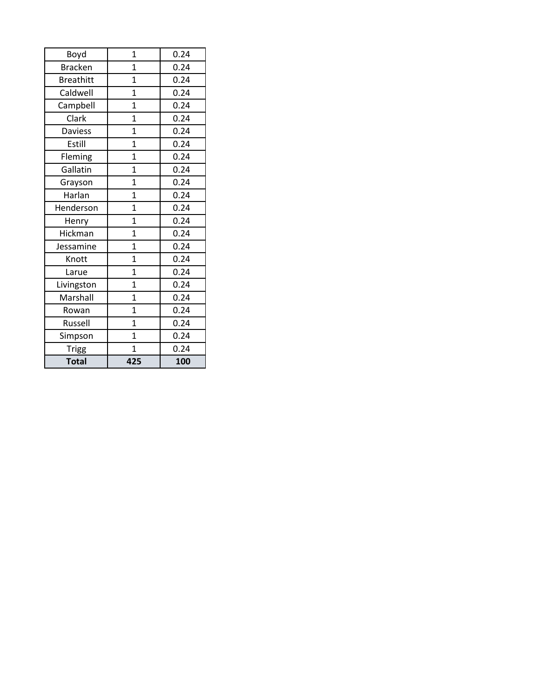| Boyd             | 1              | 0.24 |
|------------------|----------------|------|
| <b>Bracken</b>   | $\mathbf{1}$   | 0.24 |
| <b>Breathitt</b> | $\mathbf{1}$   | 0.24 |
| Caldwell         | $\mathbf 1$    | 0.24 |
| Campbell         | $\mathbf{1}$   | 0.24 |
| Clark            | $\overline{1}$ | 0.24 |
| <b>Daviess</b>   | $\mathbf 1$    | 0.24 |
| Estill           | $\overline{1}$ | 0.24 |
| Fleming          | $\mathbf{1}$   | 0.24 |
| Gallatin         | $\mathbf{1}$   | 0.24 |
| Grayson          | $\overline{1}$ | 0.24 |
| Harlan           | $\mathbf{1}$   | 0.24 |
| Henderson        | $\overline{1}$ | 0.24 |
| Henry            | $\overline{1}$ | 0.24 |
| Hickman          | $\mathbf{1}$   | 0.24 |
| Jessamine        | $\overline{1}$ | 0.24 |
| Knott            | $\mathbf{1}$   | 0.24 |
| Larue            | $\overline{1}$ | 0.24 |
| Livingston       | $\mathbf{1}$   | 0.24 |
| Marshall         | $\mathbf{1}$   | 0.24 |
| Rowan            | $\overline{1}$ | 0.24 |
| Russell          | $\mathbf{1}$   | 0.24 |
| Simpson          | $\overline{1}$ | 0.24 |
| <b>Trigg</b>     | 1              | 0.24 |
| Total            | 425            | 100  |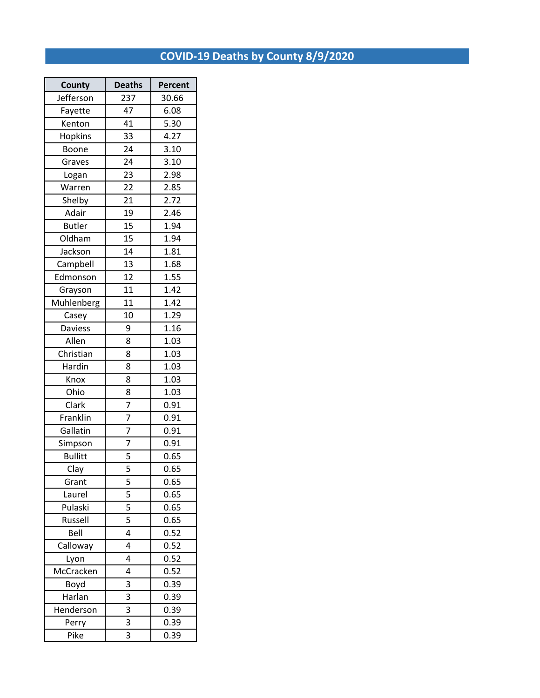# **COVID-19 Deaths by County 8/9/2020**

| County         | <b>Deaths</b>  | Percent |  |
|----------------|----------------|---------|--|
| Jefferson      | 237            | 30.66   |  |
| Fayette        | 47             | 6.08    |  |
| Kenton         | 41             | 5.30    |  |
| Hopkins        | 33             | 4.27    |  |
| Boone          | 24             | 3.10    |  |
| Graves         | 24             | 3.10    |  |
| Logan          | 23             | 2.98    |  |
| Warren         | 22             | 2.85    |  |
| Shelby         | 21             | 2.72    |  |
| Adair          | 19             | 2.46    |  |
| <b>Butler</b>  | 15             | 1.94    |  |
| Oldham         | 15             | 1.94    |  |
| Jackson        | 14             | 1.81    |  |
| Campbell       | 13             | 1.68    |  |
| Edmonson       | 12             | 1.55    |  |
| Grayson        | 11             | 1.42    |  |
| Muhlenberg     | 11             | 1.42    |  |
| Casey          | 10             | 1.29    |  |
| Daviess        | 9              | 1.16    |  |
| Allen          | 8              | 1.03    |  |
| Christian      | 8              | 1.03    |  |
| Hardin         | 8              | 1.03    |  |
| Knox           | 8              | 1.03    |  |
| Ohio           | 8              | 1.03    |  |
| Clark          | 7              | 0.91    |  |
| Franklin       | 7              | 0.91    |  |
| Gallatin       | 7              | 0.91    |  |
| Simpson        | 7              | 0.91    |  |
| <b>Bullitt</b> | 5              | 0.65    |  |
| Clay           | 5              | 0.65    |  |
| Grant          | 5              | 0.65    |  |
| Laurel         | $\overline{5}$ | 0.65    |  |
| Pulaski        | 5              | 0.65    |  |
| Russell        | 5              | 0.65    |  |
| Bell           | 4              | 0.52    |  |
| Calloway       | 4              | 0.52    |  |
| Lyon           | 4              | 0.52    |  |
| McCracken      | 4              | 0.52    |  |
| Boyd           | 3              | 0.39    |  |
| Harlan         | 3              | 0.39    |  |
| Henderson      | 3              | 0.39    |  |
| Perry          | 3              | 0.39    |  |
| Pike           | 3              | 0.39    |  |